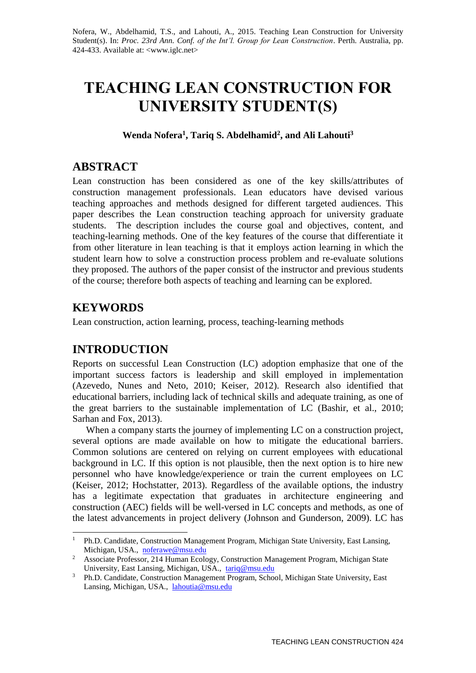Nofera, W., Abdelhamid, T.S., and Lahouti, A., 2015. Teaching Lean Construction for University Student(s). In: *Proc. 23rd Ann. Conf. of the Int'l. Group for Lean Construction*. Perth. Australia, pp. 424-433. Available at: <www.iglc.net>

# **TEACHING LEAN CONSTRUCTION FOR UNIVERSITY STUDENT(S)**

### **Wenda Nofera<sup>1</sup> , Tariq S. Abdelhamid<sup>2</sup> , and Ali Lahouti<sup>3</sup>**

# **ABSTRACT**

Lean construction has been considered as one of the key skills/attributes of construction management professionals. Lean educators have devised various teaching approaches and methods designed for different targeted audiences. This paper describes the Lean construction teaching approach for university graduate students. The description includes the course goal and objectives, content, and teaching-learning methods. One of the key features of the course that differentiate it from other literature in lean teaching is that it employs action learning in which the student learn how to solve a construction process problem and re-evaluate solutions they proposed. The authors of the paper consist of the instructor and previous students of the course; therefore both aspects of teaching and learning can be explored.

# **KEYWORDS**

-

Lean construction, action learning, process, teaching-learning methods

# **INTRODUCTION**

Reports on successful Lean Construction (LC) adoption emphasize that one of the important success factors is leadership and skill employed in implementation (Azevedo, Nunes and Neto, 2010; Keiser, 2012). Research also identified that educational barriers, including lack of technical skills and adequate training, as one of the great barriers to the sustainable implementation of LC (Bashir, et al., 2010; Sarhan and Fox, 2013).

When a company starts the journey of implementing LC on a construction project, several options are made available on how to mitigate the educational barriers. Common solutions are centered on relying on current employees with educational background in LC. If this option is not plausible, then the next option is to hire new personnel who have knowledge/experience or train the current employees on LC (Keiser, 2012; Hochstatter, 2013). Regardless of the available options, the industry has a legitimate expectation that graduates in architecture engineering and construction (AEC) fields will be well-versed in LC concepts and methods, as one of the latest advancements in project delivery (Johnson and Gunderson, 2009). LC has

<sup>&</sup>lt;sup>1</sup> Ph.D. Candidate, Construction Management Program, Michigan State University, East Lansing, Michigan, USA., [noferawe@msu.edu](mailto:noferawe@msu.edu)

<sup>&</sup>lt;sup>2</sup> Associate Professor, 214 Human Ecology, Construction Management Program, Michigan State University, East Lansing, Michigan, USA., [tariq@msu.edu](mailto:tariq@msu.edu)

<sup>&</sup>lt;sup>3</sup> Ph.D. Candidate, Construction Management Program, School, Michigan State University, East Lansing, Michigan, USA., [lahoutia@msu.edu](mailto:lahoutia@msu.edu)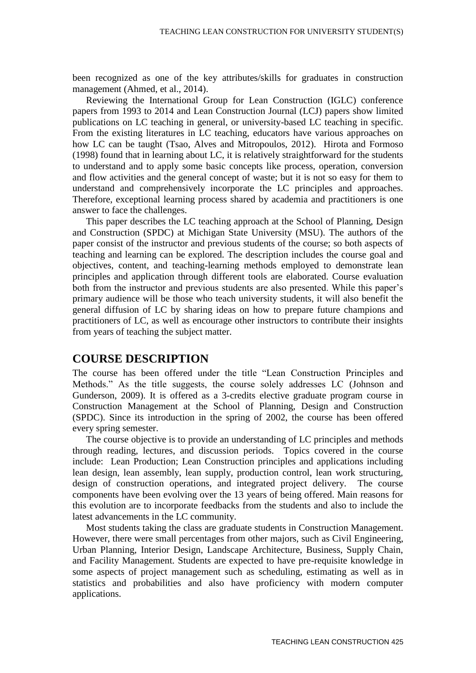been recognized as one of the key attributes/skills for graduates in construction management [\(Ahmed, et al., 2014\)](#page-8-0).

Reviewing the International Group for Lean Construction (IGLC) conference papers from 1993 to 2014 and Lean Construction Journal (LCJ) papers show limited publications on LC teaching in general, or university-based LC teaching in specific. From the existing literatures in LC teaching, educators have various approaches on how LC can be taught (Tsao, Alves and Mitropoulos, 2012). Hirota and Formoso (1998) found that in learning about LC, it is relatively straightforward for the students to understand and to apply some basic concepts like process, operation, conversion and flow activities and the general concept of waste; but it is not so easy for them to understand and comprehensively incorporate the LC principles and approaches. Therefore, exceptional learning process shared by academia and practitioners is one answer to face the challenges.

This paper describes the LC teaching approach at the School of Planning, Design and Construction (SPDC) at Michigan State University (MSU). The authors of the paper consist of the instructor and previous students of the course; so both aspects of teaching and learning can be explored. The description includes the course goal and objectives, content, and teaching-learning methods employed to demonstrate lean principles and application through different tools are elaborated. Course evaluation both from the instructor and previous students are also presented. While this paper's primary audience will be those who teach university students, it will also benefit the general diffusion of LC by sharing ideas on how to prepare future champions and practitioners of LC, as well as encourage other instructors to contribute their insights from years of teaching the subject matter.

### **COURSE DESCRIPTION**

The course has been offered under the title "Lean Construction Principles and Methods." As the title suggests, the course solely addresses LC (Johnson and Gunderson, 2009). It is offered as a 3-credits elective graduate program course in Construction Management at the School of Planning, Design and Construction (SPDC). Since its introduction in the spring of 2002, the course has been offered every spring semester.

The course objective is to provide an understanding of LC principles and methods through reading, lectures, and discussion periods. Topics covered in the course include: Lean Production; Lean Construction principles and applications including lean design, lean assembly, lean supply, production control, lean work structuring, design of construction operations, and integrated project delivery. The course components have been evolving over the 13 years of being offered. Main reasons for this evolution are to incorporate feedbacks from the students and also to include the latest advancements in the LC community.

Most students taking the class are graduate students in Construction Management. However, there were small percentages from other majors, such as Civil Engineering, Urban Planning, Interior Design, Landscape Architecture, Business, Supply Chain, and Facility Management. Students are expected to have pre-requisite knowledge in some aspects of project management such as scheduling, estimating as well as in statistics and probabilities and also have proficiency with modern computer applications.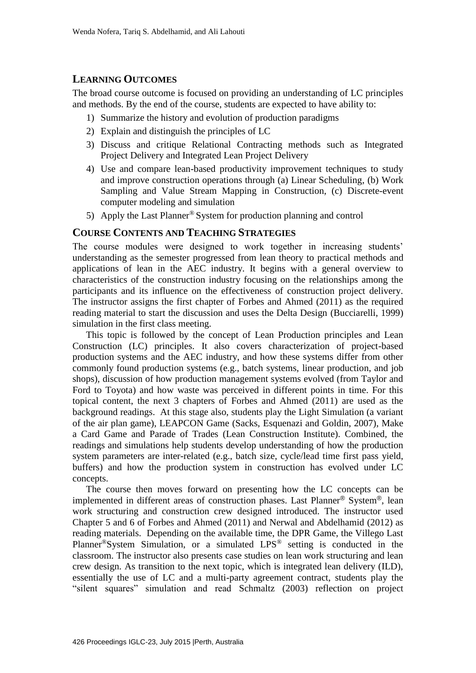### **LEARNING OUTCOMES**

The broad course outcome is focused on providing an understanding of LC principles and methods. By the end of the course, students are expected to have ability to:

- 1) Summarize the history and evolution of production paradigms
- 2) Explain and distinguish the principles of LC
- 3) Discuss and critique Relational Contracting methods such as Integrated Project Delivery and Integrated Lean Project Delivery
- 4) Use and compare lean-based productivity improvement techniques to study and improve construction operations through (a) Linear Scheduling, (b) Work Sampling and Value Stream Mapping in Construction, (c) Discrete-event computer modeling and simulation
- 5) Apply the Last Planner® System for production planning and control

#### **COURSE CONTENTS AND TEACHING STRATEGIES**

The course modules were designed to work together in increasing students' understanding as the semester progressed from lean theory to practical methods and applications of lean in the AEC industry. It begins with a general overview to characteristics of the construction industry focusing on the relationships among the participants and its influence on the effectiveness of construction project delivery. The instructor assigns the first chapter of Forbes and Ahmed (2011) as the required reading material to start the discussion and uses the Delta Design (Bucciarelli, 1999) simulation in the first class meeting.

This topic is followed by the concept of Lean Production principles and Lean Construction (LC) principles. It also covers characterization of project-based production systems and the AEC industry, and how these systems differ from other commonly found production systems (e.g., batch systems, linear production, and job shops), discussion of how production management systems evolved (from Taylor and Ford to Toyota) and how waste was perceived in different points in time. For this topical content, the next 3 chapters of Forbes and Ahmed (2011) are used as the background readings. At this stage also, students play the Light Simulation (a variant of the air plan game), LEAPCON Game (Sacks, Esquenazi and Goldin, 2007), Make a Card Game and Parade of Trades (Lean Construction Institute). Combined, the readings and simulations help students develop understanding of how the production system parameters are inter-related (e.g., batch size, cycle/lead time first pass yield, buffers) and how the production system in construction has evolved under LC concepts.

The course then moves forward on presenting how the LC concepts can be implemented in different areas of construction phases. Last Planner® System®, lean work structuring and construction crew designed introduced. The instructor used Chapter 5 and 6 of Forbes and Ahmed (2011) and Nerwal and Abdelhamid (2012) as reading materials. Depending on the available time, the DPR Game, the Villego Last Planner®System Simulation, or a simulated LPS® setting is conducted in the classroom. The instructor also presents case studies on lean work structuring and lean crew design. As transition to the next topic, which is integrated lean delivery (ILD), essentially the use of LC and a multi-party agreement contract, students play the "silent squares" simulation and read Schmaltz (2003) reflection on project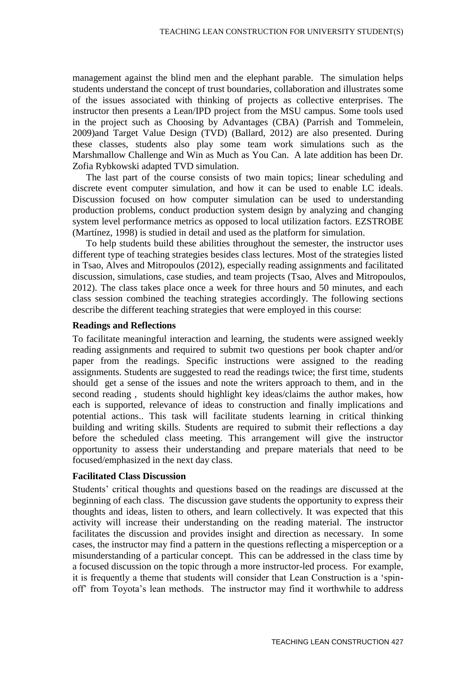management against the blind men and the elephant parable. The simulation helps students understand the concept of trust boundaries, collaboration and illustrates some of the issues associated with thinking of projects as collective enterprises. The instructor then presents a Lean/IPD project from the MSU campus. Some tools used in the project such as Choosing by Advantages (CBA) (Parrish and Tommelein, 2009)and Target Value Design (TVD) (Ballard, 2012) are also presented. During these classes, students also play some team work simulations such as the Marshmallow Challenge and Win as Much as You Can. A late addition has been Dr. Zofia Rybkowski adapted TVD simulation.

The last part of the course consists of two main topics; linear scheduling and discrete event computer simulation, and how it can be used to enable LC ideals. Discussion focused on how computer simulation can be used to understanding production problems, conduct production system design by analyzing and changing system level performance metrics as opposed to local utilization factors. EZSTROBE (Martínez, 1998) is studied in detail and used as the platform for simulation.

To help students build these abilities throughout the semester, the instructor uses different type of teaching strategies besides class lectures. Most of the strategies listed in Tsao, Alves and Mitropoulos (2012), especially reading assignments and facilitated discussion, simulations, case studies, and team projects (Tsao, Alves and Mitropoulos, 2012). The class takes place once a week for three hours and 50 minutes, and each class session combined the teaching strategies accordingly. The following sections describe the different teaching strategies that were employed in this course:

#### **Readings and Reflections**

To facilitate meaningful interaction and learning, the students were assigned weekly reading assignments and required to submit two questions per book chapter and/or paper from the readings. Specific instructions were assigned to the reading assignments. Students are suggested to read the readings twice; the first time, students should get a sense of the issues and note the writers approach to them, and in the second reading , students should highlight key ideas/claims the author makes, how each is supported, relevance of ideas to construction and finally implications and potential actions.. This task will facilitate students learning in critical thinking building and writing skills. Students are required to submit their reflections a day before the scheduled class meeting. This arrangement will give the instructor opportunity to assess their understanding and prepare materials that need to be focused/emphasized in the next day class.

#### **Facilitated Class Discussion**

Students' critical thoughts and questions based on the readings are discussed at the beginning of each class. The discussion gave students the opportunity to express their thoughts and ideas, listen to others, and learn collectively. It was expected that this activity will increase their understanding on the reading material. The instructor facilitates the discussion and provides insight and direction as necessary. In some cases, the instructor may find a pattern in the questions reflecting a misperception or a misunderstanding of a particular concept. This can be addressed in the class time by a focused discussion on the topic through a more instructor-led process. For example, it is frequently a theme that students will consider that Lean Construction is a 'spinoff' from Toyota's lean methods. The instructor may find it worthwhile to address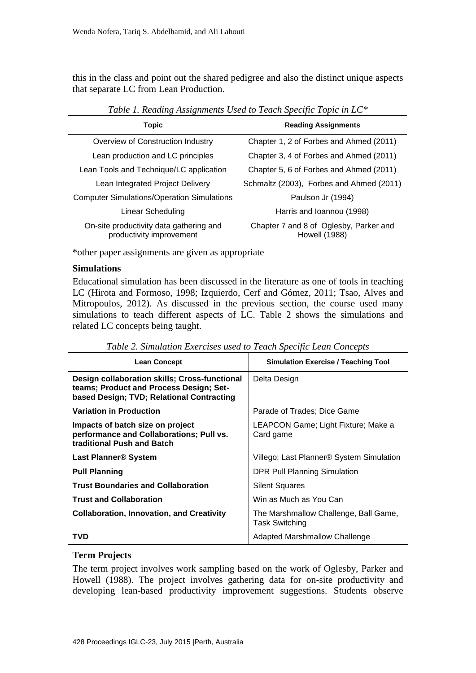this in the class and point out the shared pedigree and also the distinct unique aspects that separate LC from Lean Production.

| Topic                                                               | <b>Reading Assignments</b>                                     |
|---------------------------------------------------------------------|----------------------------------------------------------------|
| Overview of Construction Industry                                   | Chapter 1, 2 of Forbes and Ahmed (2011)                        |
| Lean production and LC principles                                   | Chapter 3, 4 of Forbes and Ahmed (2011)                        |
| Lean Tools and Technique/LC application                             | Chapter 5, 6 of Forbes and Ahmed (2011)                        |
| Lean Integrated Project Delivery                                    | Schmaltz (2003), Forbes and Ahmed (2011)                       |
| <b>Computer Simulations/Operation Simulations</b>                   | Paulson Jr (1994)                                              |
| Linear Scheduling                                                   | Harris and Ioannou (1998)                                      |
| On-site productivity data gathering and<br>productivity improvement | Chapter 7 and 8 of Oglesby, Parker and<br><b>Howell (1988)</b> |

*Table 1. Reading Assignments Used to Teach Specific Topic in LC\**

\*other paper assignments are given as appropriate

#### **Simulations**

Educational simulation has been discussed in the literature as one of tools in teaching LC (Hirota and Formoso, 1998; Izquierdo, Cerf and Gómez, 2011; Tsao, Alves and Mitropoulos, 2012). As discussed in the previous section, the course used many simulations to teach different aspects of LC. Table 2 shows the simulations and related LC concepts being taught.

| <b>Lean Concept</b>                                                                                                                   | <b>Simulation Exercise / Teaching Tool</b>              |
|---------------------------------------------------------------------------------------------------------------------------------------|---------------------------------------------------------|
| Design collaboration skills; Cross-functional<br>teams; Product and Process Design; Set-<br>based Design; TVD; Relational Contracting | Delta Design                                            |
| <b>Variation in Production</b>                                                                                                        | Parade of Trades: Dice Game                             |
| Impacts of batch size on project<br>performance and Collaborations; Pull vs.<br>traditional Push and Batch                            | LEAPCON Game; Light Fixture; Make a<br>Card game        |
| <b>Last Planner® System</b>                                                                                                           | Villego; Last Planner® System Simulation                |
| <b>Pull Planning</b>                                                                                                                  | DPR Pull Planning Simulation                            |
| <b>Trust Boundaries and Collaboration</b>                                                                                             | <b>Silent Squares</b>                                   |
| <b>Trust and Collaboration</b>                                                                                                        | Win as Much as You Can                                  |
| <b>Collaboration, Innovation, and Creativity</b>                                                                                      | The Marshmallow Challenge, Ball Game,<br>Task Switching |
| TVD                                                                                                                                   | <b>Adapted Marshmallow Challenge</b>                    |

*Table 2. Simulation Exercises used to Teach Specific Lean Concepts*

### **Term Projects**

The term project involves work sampling based on the work of Oglesby, Parker and Howell (1988). The project involves gathering data for on-site productivity and developing lean-based productivity improvement suggestions. Students observe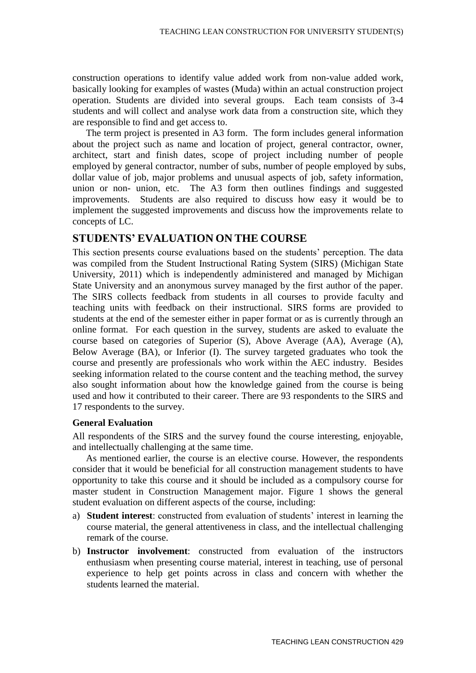construction operations to identify value added work from non-value added work, basically looking for examples of wastes (Muda) within an actual construction project operation. Students are divided into several groups. Each team consists of 3-4 students and will collect and analyse work data from a construction site, which they are responsible to find and get access to.

The term project is presented in A3 form. The form includes general information about the project such as name and location of project, general contractor, owner, architect, start and finish dates, scope of project including number of people employed by general contractor, number of subs, number of people employed by subs, dollar value of job, major problems and unusual aspects of job, safety information, union or non- union, etc. The A3 form then outlines findings and suggested improvements. Students are also required to discuss how easy it would be to implement the suggested improvements and discuss how the improvements relate to concepts of LC.

#### **STUDENTS' EVALUATION ON THE COURSE**

This section presents course evaluations based on the students' perception. The data was compiled from the Student Instructional Rating System (SIRS) (Michigan State University, 2011) which is independently administered and managed by Michigan State University and an anonymous survey managed by the first author of the paper. The SIRS collects feedback from students in all courses to provide faculty and teaching units with feedback on their instructional. SIRS forms are provided to students at the end of the semester either in paper format or as is currently through an online format. For each question in the survey, students are asked to evaluate the course based on categories of Superior (S), Above Average (AA), Average (A), Below Average (BA), or Inferior (I). The survey targeted graduates who took the course and presently are professionals who work within the AEC industry. Besides seeking information related to the course content and the teaching method, the survey also sought information about how the knowledge gained from the course is being used and how it contributed to their career. There are 93 respondents to the SIRS and 17 respondents to the survey.

#### **General Evaluation**

All respondents of the SIRS and the survey found the course interesting, enjoyable, and intellectually challenging at the same time.

As mentioned earlier, the course is an elective course. However, the respondents consider that it would be beneficial for all construction management students to have opportunity to take this course and it should be included as a compulsory course for master student in Construction Management major. Figure 1 shows the general student evaluation on different aspects of the course, including:

- a) **Student interest**: constructed from evaluation of students' interest in learning the course material, the general attentiveness in class, and the intellectual challenging remark of the course.
- b) **Instructor involvement**: constructed from evaluation of the instructors enthusiasm when presenting course material, interest in teaching, use of personal experience to help get points across in class and concern with whether the students learned the material.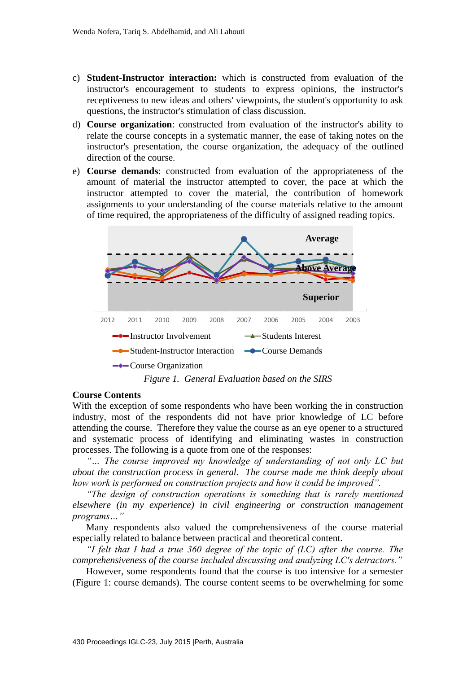- c) **Student-Instructor interaction:** which is constructed from evaluation of the instructor's encouragement to students to express opinions, the instructor's receptiveness to new ideas and others' viewpoints, the student's opportunity to ask questions, the instructor's stimulation of class discussion.
- d) **Course organization**: constructed from evaluation of the instructor's ability to relate the course concepts in a systematic manner, the ease of taking notes on the instructor's presentation, the course organization, the adequacy of the outlined direction of the course.
- e) **Course demands**: constructed from evaluation of the appropriateness of the amount of material the instructor attempted to cover, the pace at which the instructor attempted to cover the material, the contribution of homework assignments to your understanding of the course materials relative to the amount of time required, the appropriateness of the difficulty of assigned reading topics.



#### **Course Contents**

With the exception of some respondents who have been working the in construction industry, most of the respondents did not have prior knowledge of LC before attending the course. Therefore they value the course as an eye opener to a structured and systematic process of identifying and eliminating wastes in construction processes. The following is a quote from one of the responses:

*"… The course improved my knowledge of understanding of not only LC but about the construction process in general. The course made me think deeply about how work is performed on construction projects and how it could be improved".*

*"The design of construction operations is something that is rarely mentioned elsewhere (in my experience) in civil engineering or construction management programs…"*

Many respondents also valued the comprehensiveness of the course material especially related to balance between practical and theoretical content.

*"I felt that I had a true 360 degree of the topic of (LC) after the course. The comprehensiveness of the course included discussing and analyzing LC's detractors."*

However, some respondents found that the course is too intensive for a semester (Figure 1: course demands). The course content seems to be overwhelming for some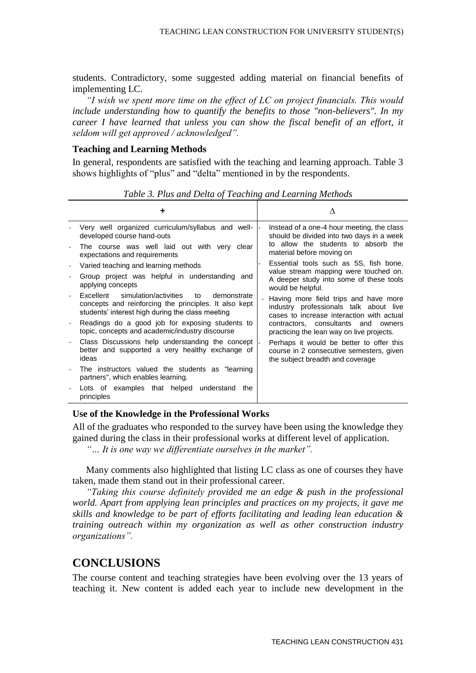students. Contradictory, some suggested adding material on financial benefits of implementing LC.

*"I wish we spent more time on the effect of LC on project financials. This would include understanding how to quantify the benefits to those "non-believers". In my career I have learned that unless you can show the fiscal benefit of an effort, it seldom will get approved / acknowledged".* 

#### **Teaching and Learning Methods**

In general, respondents are satisfied with the teaching and learning approach. Table 3 shows highlights of "plus" and "delta" mentioned in by the respondents.

|                                                                                                                                                                      | $\Lambda$                                                                                                                    |
|----------------------------------------------------------------------------------------------------------------------------------------------------------------------|------------------------------------------------------------------------------------------------------------------------------|
| Very well organized curriculum/syllabus and well-<br>developed course hand-outs                                                                                      | Instead of a one-4 hour meeting, the class<br>should be divided into two days in a week                                      |
| The course was well laid out with very clear<br>expectations and requirements                                                                                        | to allow the students to absorb the<br>material before moving on                                                             |
| Varied teaching and learning methods                                                                                                                                 | Essential tools such as 5S, fish bone,                                                                                       |
| Group project was helpful in understanding and<br>applying concepts                                                                                                  | value stream mapping were touched on.<br>A deeper study into some of these tools<br>would be helpful.                        |
| Excellent<br>simulation/activities<br>to<br>demonstrate<br>concepts and reinforcing the principles. It also kept<br>students' interest high during the class meeting | Having more field trips and have more<br>industry professionals talk about live<br>cases to increase interaction with actual |
| Readings do a good job for exposing students to<br>topic, concepts and academic/industry discourse                                                                   | contractors, consultants and owners<br>practicing the lean way on live projects.                                             |
| Class Discussions help understanding the concept<br>better and supported a very healthy exchange of<br>ideas                                                         | Perhaps it would be better to offer this<br>course in 2 consecutive semesters, given<br>the subject breadth and coverage     |
| The instructors valued the students as "learning<br>partners", which enables learning.                                                                               |                                                                                                                              |
| Lots of examples that helped understand<br>the<br>principles                                                                                                         |                                                                                                                              |

*Table 3. Plus and Delta of Teaching and Learning Methods*

#### **Use of the Knowledge in the Professional Works**

All of the graduates who responded to the survey have been using the knowledge they gained during the class in their professional works at different level of application.

*"… It is one way we differentiate ourselves in the market".*

Many comments also highlighted that listing LC class as one of courses they have taken, made them stand out in their professional career.

*"Taking this course definitely provided me an edge & push in the professional world. Apart from applying lean principles and practices on my projects, it gave me skills and knowledge to be part of efforts facilitating and leading lean education & training outreach within my organization as well as other construction industry organizations".*

## **CONCLUSIONS**

The course content and teaching strategies have been evolving over the 13 years of teaching it. New content is added each year to include new development in the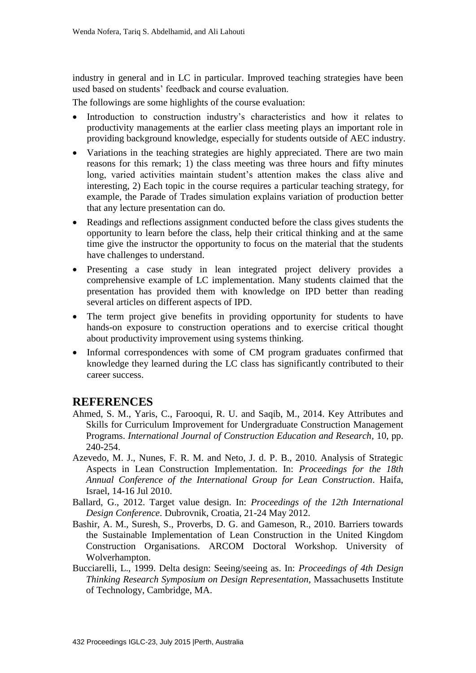industry in general and in LC in particular. Improved teaching strategies have been used based on students' feedback and course evaluation.

The followings are some highlights of the course evaluation:

- Introduction to construction industry's characteristics and how it relates to productivity managements at the earlier class meeting plays an important role in providing background knowledge, especially for students outside of AEC industry.
- Variations in the teaching strategies are highly appreciated. There are two main reasons for this remark; 1) the class meeting was three hours and fifty minutes long, varied activities maintain student's attention makes the class alive and interesting, 2) Each topic in the course requires a particular teaching strategy, for example, the Parade of Trades simulation explains variation of production better that any lecture presentation can do.
- Readings and reflections assignment conducted before the class gives students the opportunity to learn before the class, help their critical thinking and at the same time give the instructor the opportunity to focus on the material that the students have challenges to understand.
- Presenting a case study in lean integrated project delivery provides a comprehensive example of LC implementation. Many students claimed that the presentation has provided them with knowledge on IPD better than reading several articles on different aspects of IPD.
- The term project give benefits in providing opportunity for students to have hands-on exposure to construction operations and to exercise critical thought about productivity improvement using systems thinking.
- Informal correspondences with some of CM program graduates confirmed that knowledge they learned during the LC class has significantly contributed to their career success.

# **REFERENCES**

- <span id="page-8-0"></span>Ahmed, S. M., Yaris, C., Farooqui, R. U. and Saqib, M., 2014. Key Attributes and Skills for Curriculum Improvement for Undergraduate Construction Management Programs. *International Journal of Construction Education and Research,* 10, pp. 240-254.
- Azevedo, M. J., Nunes, F. R. M. and Neto, J. d. P. B., 2010. Analysis of Strategic Aspects in Lean Construction Implementation. In: *Proceedings for the 18th Annual Conference of the International Group for Lean Construction*. Haifa, Israel, 14-16 Jul 2010.
- Ballard, G., 2012. Target value design. In: *Proceedings of the 12th International Design Conference*. Dubrovnik, Croatia, 21-24 May 2012.
- Bashir, A. M., Suresh, S., Proverbs, D. G. and Gameson, R., 2010. Barriers towards the Sustainable Implementation of Lean Construction in the United Kingdom Construction Organisations. ARCOM Doctoral Workshop. University of Wolverhampton.
- Bucciarelli, L., 1999. Delta design: Seeing/seeing as. In: *Proceedings of 4th Design Thinking Research Symposium on Design Representation*, Massachusetts Institute of Technology, Cambridge, MA.